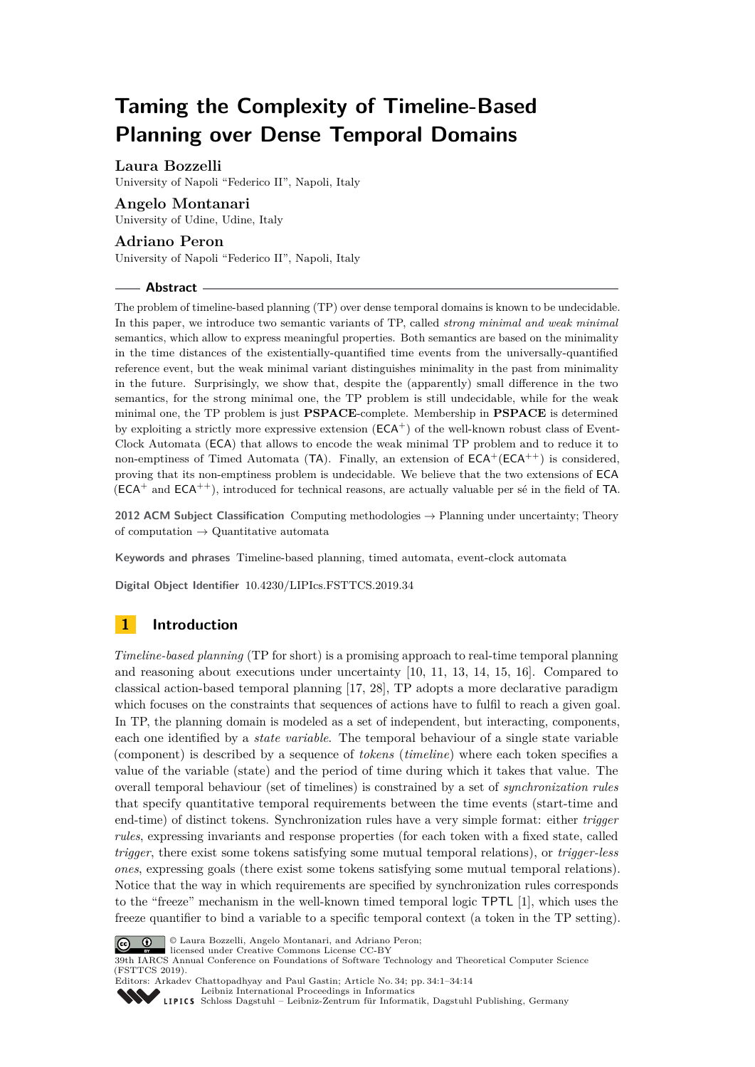# **Taming the Complexity of Timeline-Based Planning over Dense Temporal Domains**

# **Laura Bozzelli**

University of Napoli "Federico II", Napoli, Italy

# **Angelo Montanari**

University of Udine, Udine, Italy

# **Adriano Peron**

University of Napoli "Federico II", Napoli, Italy

#### **Abstract**

The problem of timeline-based planning (TP) over dense temporal domains is known to be undecidable. In this paper, we introduce two semantic variants of TP, called *strong minimal and weak minimal* semantics, which allow to express meaningful properties. Both semantics are based on the minimality in the time distances of the existentially-quantified time events from the universally-quantified reference event, but the weak minimal variant distinguishes minimality in the past from minimality in the future. Surprisingly, we show that, despite the (apparently) small difference in the two semantics, for the strong minimal one, the TP problem is still undecidable, while for the weak minimal one, the TP problem is just **PSPACE**-complete. Membership in **PSPACE** is determined by exploiting a strictly more expressive extension  $(ECA^+)$  of the well-known robust class of Event-Clock Automata (ECA) that allows to encode the weak minimal TP problem and to reduce it to non-emptiness of Timed Automata (TA). Finally, an extension of  $ECA^+(ECA^{++})$  is considered, proving that its non-emptiness problem is undecidable. We believe that the two extensions of ECA  $(ECA^+$  and  $ECA^{++}$ ), introduced for technical reasons, are actually valuable per sé in the field of TA.

**2012 ACM Subject Classification** Computing methodologies → Planning under uncertainty; Theory of computation  $\rightarrow$  Quantitative automata

**Keywords and phrases** Timeline-based planning, timed automata, event-clock automata

**Digital Object Identifier** [10.4230/LIPIcs.FSTTCS.2019.34](https://doi.org/10.4230/LIPIcs.FSTTCS.2019.34)

# **1 Introduction**

*Timeline-based planning* (TP for short) is a promising approach to real-time temporal planning and reasoning about executions under uncertainty [\[10,](#page-13-0) [11,](#page-13-1) [13,](#page-13-2) [14,](#page-13-3) [15,](#page-13-4) [16\]](#page-13-5). Compared to classical action-based temporal planning [\[17,](#page-13-6) [28\]](#page-13-7), TP adopts a more declarative paradigm which focuses on the constraints that sequences of actions have to fulfil to reach a given goal. In TP, the planning domain is modeled as a set of independent, but interacting, components, each one identified by a *state variable*. The temporal behaviour of a single state variable (component) is described by a sequence of *tokens* (*timeline*) where each token specifies a value of the variable (state) and the period of time during which it takes that value. The overall temporal behaviour (set of timelines) is constrained by a set of *synchronization rules* that specify quantitative temporal requirements between the time events (start-time and end-time) of distinct tokens. Synchronization rules have a very simple format: either *trigger rules*, expressing invariants and response properties (for each token with a fixed state, called *trigger*, there exist some tokens satisfying some mutual temporal relations), or *trigger-less ones*, expressing goals (there exist some tokens satisfying some mutual temporal relations). Notice that the way in which requirements are specified by synchronization rules corresponds to the "freeze" mechanism in the well-known timed temporal logic TPTL [\[1\]](#page-12-0), which uses the freeze quantifier to bind a variable to a specific temporal context (a token in the TP setting).



© Laura Bozzelli, Angelo Montanari, and Adriano Peron; licensed under Creative Commons License CC-BY

39th IARCS Annual Conference on Foundations of Software Technology and Theoretical Computer Science (FSTTCS 2019).



Editors: Arkadev Chattopadhyay and Paul Gastin; Article No. 34; pp. 34:1–34[:14](#page-13-8) [Leibniz International Proceedings in Informatics](https://www.dagstuhl.de/lipics/)

[Schloss Dagstuhl – Leibniz-Zentrum für Informatik, Dagstuhl Publishing, Germany](https://www.dagstuhl.de)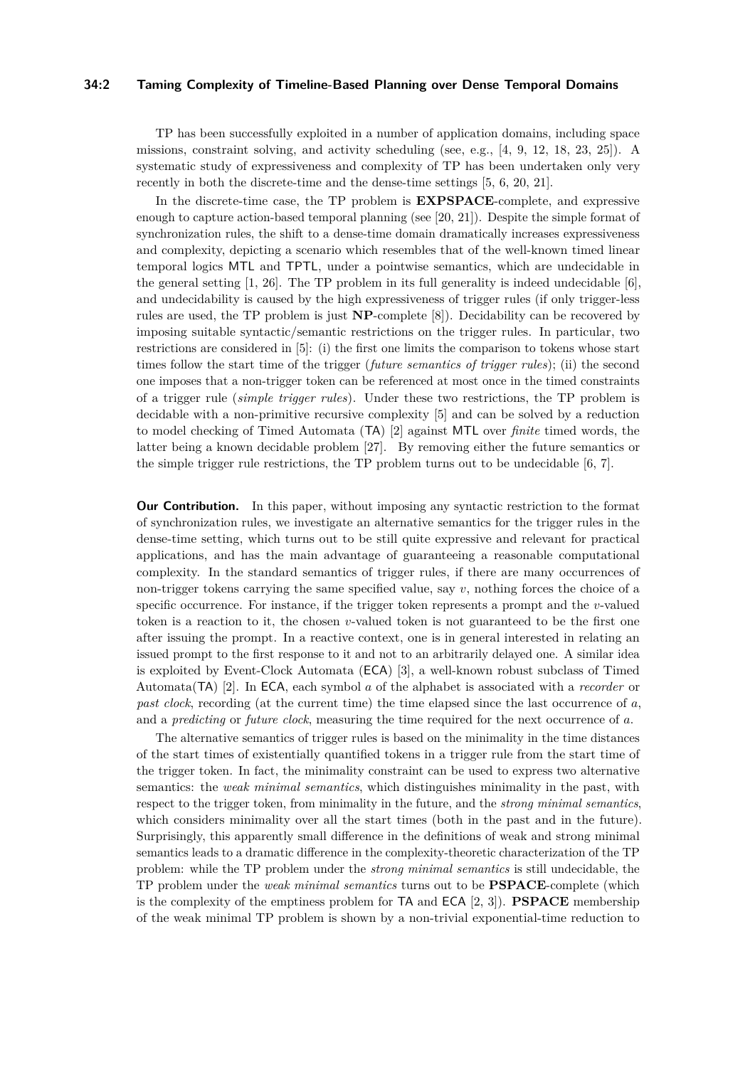### **34:2 Taming Complexity of Timeline-Based Planning over Dense Temporal Domains**

TP has been successfully exploited in a number of application domains, including space missions, constraint solving, and activity scheduling (see, e.g., [\[4,](#page-12-1) [9,](#page-13-9) [12,](#page-13-10) [18,](#page-13-11) [23,](#page-13-12) [25\]](#page-13-13)). A systematic study of expressiveness and complexity of TP has been undertaken only very recently in both the discrete-time and the dense-time settings [\[5,](#page-12-2) [6,](#page-13-14) [20,](#page-13-15) [21\]](#page-13-16).

In the discrete-time case, the TP problem is **EXPSPACE**-complete, and expressive enough to capture action-based temporal planning (see [\[20,](#page-13-15) [21\]](#page-13-16)). Despite the simple format of synchronization rules, the shift to a dense-time domain dramatically increases expressiveness and complexity, depicting a scenario which resembles that of the well-known timed linear temporal logics MTL and TPTL, under a pointwise semantics, which are undecidable in the general setting [\[1,](#page-12-0) [26\]](#page-13-17). The TP problem in its full generality is indeed undecidable [\[6\]](#page-13-14), and undecidability is caused by the high expressiveness of trigger rules (if only trigger-less rules are used, the TP problem is just **NP**-complete [\[8\]](#page-13-18)). Decidability can be recovered by imposing suitable syntactic/semantic restrictions on the trigger rules. In particular, two restrictions are considered in [\[5\]](#page-12-2): (i) the first one limits the comparison to tokens whose start times follow the start time of the trigger (*future semantics of trigger rules*); (ii) the second one imposes that a non-trigger token can be referenced at most once in the timed constraints of a trigger rule (*simple trigger rules*). Under these two restrictions, the TP problem is decidable with a non-primitive recursive complexity [\[5\]](#page-12-2) and can be solved by a reduction to model checking of Timed Automata (TA) [\[2\]](#page-12-3) against MTL over *finite* timed words, the latter being a known decidable problem [\[27\]](#page-13-19). By removing either the future semantics or the simple trigger rule restrictions, the TP problem turns out to be undecidable [\[6,](#page-13-14) [7\]](#page-13-20).

**Our Contribution.** In this paper, without imposing any syntactic restriction to the format of synchronization rules, we investigate an alternative semantics for the trigger rules in the dense-time setting, which turns out to be still quite expressive and relevant for practical applications, and has the main advantage of guaranteeing a reasonable computational complexity. In the standard semantics of trigger rules, if there are many occurrences of non-trigger tokens carrying the same specified value, say *v*, nothing forces the choice of a specific occurrence. For instance, if the trigger token represents a prompt and the *v*-valued token is a reaction to it, the chosen *v*-valued token is not guaranteed to be the first one after issuing the prompt. In a reactive context, one is in general interested in relating an issued prompt to the first response to it and not to an arbitrarily delayed one. A similar idea is exploited by Event-Clock Automata (ECA) [\[3\]](#page-12-4), a well-known robust subclass of Timed Automata(TA) [\[2\]](#page-12-3). In ECA, each symbol *a* of the alphabet is associated with a *recorder* or *past clock*, recording (at the current time) the time elapsed since the last occurrence of *a*, and a *predicting* or *future clock*, measuring the time required for the next occurrence of *a*.

The alternative semantics of trigger rules is based on the minimality in the time distances of the start times of existentially quantified tokens in a trigger rule from the start time of the trigger token. In fact, the minimality constraint can be used to express two alternative semantics: the *weak minimal semantics*, which distinguishes minimality in the past, with respect to the trigger token, from minimality in the future, and the *strong minimal semantics*, which considers minimality over all the start times (both in the past and in the future). Surprisingly, this apparently small difference in the definitions of weak and strong minimal semantics leads to a dramatic difference in the complexity-theoretic characterization of the TP problem: while the TP problem under the *strong minimal semantics* is still undecidable, the TP problem under the *weak minimal semantics* turns out to be **PSPACE**-complete (which is the complexity of the emptiness problem for TA and ECA [\[2,](#page-12-3) [3\]](#page-12-4)). **PSPACE** membership of the weak minimal TP problem is shown by a non-trivial exponential-time reduction to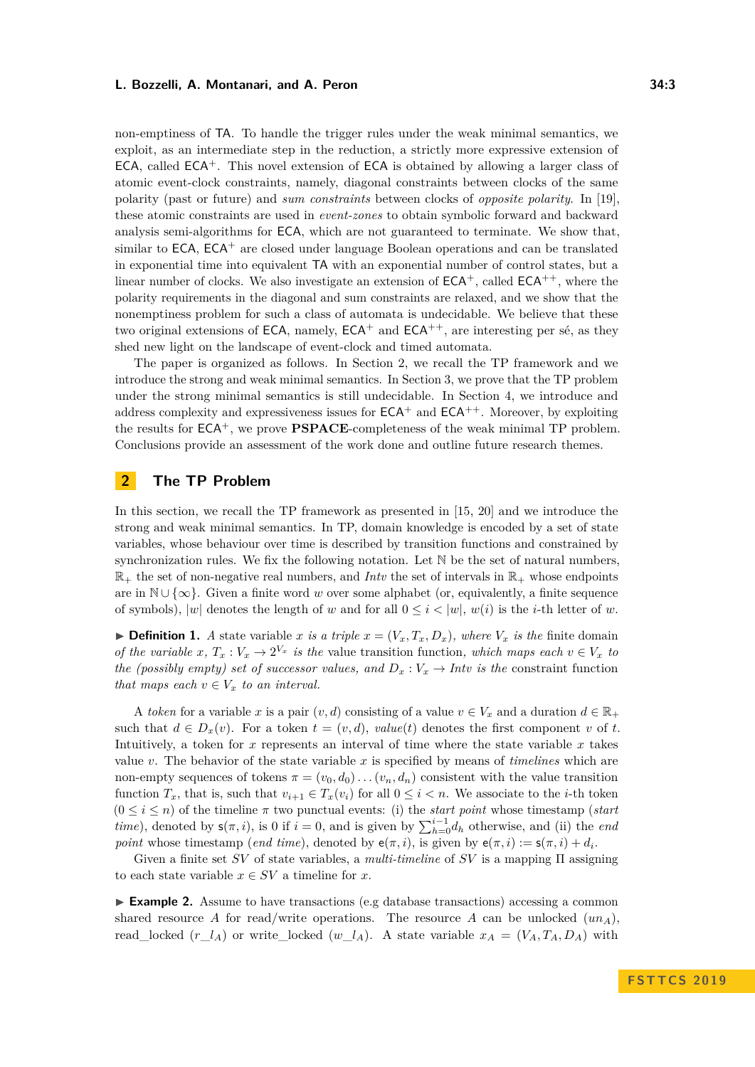non-emptiness of TA. To handle the trigger rules under the weak minimal semantics, we exploit, as an intermediate step in the reduction, a strictly more expressive extension of  $ECA$ , called  $ECA<sup>+</sup>$ . This novel extension of  $ECA$  is obtained by allowing a larger class of atomic event-clock constraints, namely, diagonal constraints between clocks of the same polarity (past or future) and *sum constraints* between clocks of *opposite polarity*. In [\[19\]](#page-13-21), these atomic constraints are used in *event-zones* to obtain symbolic forward and backward analysis semi-algorithms for ECA, which are not guaranteed to terminate. We show that, similar to  $ECA$ ,  $ECA^+$  are closed under language Boolean operations and can be translated in exponential time into equivalent TA with an exponential number of control states, but a linear number of clocks. We also investigate an extension of  $ECA^+$ , called  $ECA^{++}$ , where the polarity requirements in the diagonal and sum constraints are relaxed, and we show that the nonemptiness problem for such a class of automata is undecidable. We believe that these two original extensions of ECA, namely,  $ECA^+$  and  $ECA^{++}$ , are interesting per sé, as they shed new light on the landscape of event-clock and timed automata.

The paper is organized as follows. In Section [2,](#page-2-0) we recall the TP framework and we introduce the strong and weak minimal semantics. In Section [3,](#page-5-0) we prove that the TP problem under the strong minimal semantics is still undecidable. In Section [4,](#page-7-0) we introduce and address complexity and expressiveness issues for  $ECA^+$  and  $ECA^{++}$ . Moreover, by exploiting the results for ECA<sup>+</sup>, we prove **PSPACE**-completeness of the weak minimal TP problem. Conclusions provide an assessment of the work done and outline future research themes.

# <span id="page-2-0"></span>**2 The TP Problem**

In this section, we recall the TP framework as presented in [\[15,](#page-13-4) [20\]](#page-13-15) and we introduce the strong and weak minimal semantics. In TP, domain knowledge is encoded by a set of state variables, whose behaviour over time is described by transition functions and constrained by synchronization rules. We fix the following notation. Let N be the set of natural numbers,  $\mathbb{R}_+$  the set of non-negative real numbers, and *Intv* the set of intervals in  $\mathbb{R}_+$  whose endpoints are in N ∪ {∞}. Given a finite word *w* over some alphabet (or, equivalently, a finite sequence of symbols),  $|w|$  denotes the length of *w* and for all  $0 \leq i \leq |w|$ ,  $w(i)$  is the *i*-th letter of *w*.

**• Definition 1.** *A* state variable *x is a triple*  $x = (V_x, T_x, D_x)$ *, where*  $V_x$  *is the* finite domain *of the variable*  $x, T_x : V_x \to 2^{V_x}$  *is the value transition function, which maps each*  $v \in V_x$  *to the (possibly empty) set of successor values, and*  $D_x: V_x \to Int$ *v is the constraint function that maps each*  $v \in V_x$  *to an interval.* 

A *token* for a variable *x* is a pair  $(v, d)$  consisting of a value  $v \in V_x$  and a duration  $d \in \mathbb{R}_+$ such that  $d \in D_x(v)$ . For a token  $t = (v, d)$ , *value(t)* denotes the first component *v* of *t*. Intuitively, a token for  $x$  represents an interval of time where the state variable  $x$  takes value *v*. The behavior of the state variable *x* is specified by means of *timelines* which are non-empty sequences of tokens  $\pi = (v_0, d_0) \dots (v_n, d_n)$  consistent with the value transition function  $T_x$ , that is, such that  $v_{i+1} \in T_x(v_i)$  for all  $0 \leq i < n$ . We associate to the *i*-th token  $(0 \leq i \leq n)$  of the timeline  $\pi$  two punctual events: (i) the *start point* whose timestamp (*start time*), denoted by  $\mathsf{s}(\pi, i)$ , is 0 if  $i = 0$ , and is given by  $\sum_{h=0}^{i-1} d_h$  otherwise, and (ii) the *end point* whose timestamp (*end time*), denoted by  $e(\pi, i)$ , is given by  $e(\pi, i) := s(\pi, i) + d_i$ .

Given a finite set *SV* of state variables, a *multi-timeline* of *SV* is a mapping Π assigning to each state variable  $x \in SV$  a timeline for  $x$ .

<span id="page-2-1"></span>► **Example 2.** Assume to have transactions (e.g database transactions) accessing a common shared resource *A* for read/write operations. The resource *A* can be unlocked  $(un_A)$ , read\_locked  $(r_l \_A)$  or write\_locked  $(w_l \_A)$ . A state variable  $x_A = (V_A, T_A, D_A)$  with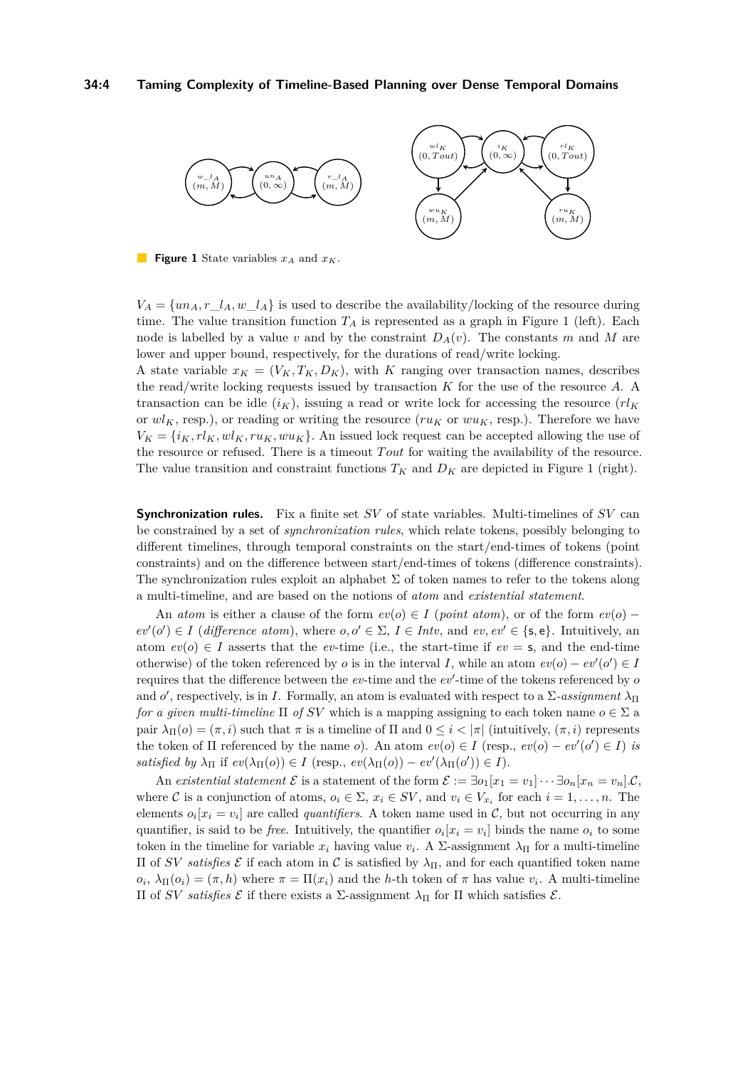#### **34:4 Taming Complexity of Timeline-Based Planning over Dense Temporal Domains**

<span id="page-3-0"></span>

**Figure 1** State variables *x<sup>A</sup>* and *xK*.

 $V_A = \{un_A, r\_{I_A}, w\_{I_A}\}$  is used to describe the availability/locking of the resource during time. The value transition function *T<sup>A</sup>* is represented as a graph in Figure [1](#page-3-0) (left). Each node is labelled by a value *v* and by the constraint  $D_A(v)$ . The constants *m* and *M* are lower and upper bound, respectively, for the durations of read/write locking. A state variable  $x_K = (V_K, T_K, D_K)$ , with K ranging over transaction names, describes

the read/write locking requests issued by transaction *K* for the use of the resource *A*. A transaction can be idle  $(i_K)$ , issuing a read or write lock for accessing the resource  $(rl_K)$ or  $wl<sub>K</sub>$ , resp.), or reading or writing the resource ( $ru<sub>K</sub>$  or  $wu<sub>K</sub>$ , resp.). Therefore we have  $V_K = \{i_K, r l_K, w l_K, r u_K, w u_K\}$ . An issued lock request can be accepted allowing the use of the resource or refused. There is a timeout *T out* for waiting the availability of the resource. The value transition and constraint functions  $T_K$  and  $D_K$  are depicted in Figure [1](#page-3-0) (right).

**Synchronization rules.** Fix a finite set *SV* of state variables. Multi-timelines of *SV* can be constrained by a set of *synchronization rules*, which relate tokens, possibly belonging to different timelines, through temporal constraints on the start/end-times of tokens (point constraints) and on the difference between start/end-times of tokens (difference constraints). The synchronization rules exploit an alphabet  $\Sigma$  of token names to refer to the tokens along a multi-timeline, and are based on the notions of *atom* and *existential statement*.

An *atom* is either a clause of the form  $ev(o) \in I$  (*point atom*), or of the form  $ev(o)$  $ev'(o') \in I$  (*difference atom*), where  $o, o' \in \Sigma$ ,  $I \in Intv$ , and  $ev, ev' \in \{\text{s}, \text{e}\}\$ . Intuitively, an atom  $ev(o) \in I$  asserts that the *ev*-time (i.e., the start-time if  $ev = s$ , and the end-time otherwise) of the token referenced by *o* is in the interval *I*, while an atom  $ev(o) - ev'(o') \in I$ requires that the difference between the  $ev$ -time and the  $ev'$ -time of the tokens referenced by  $o$ and *o'*, respectively, is in *I*. Formally, an atom is evaluated with respect to a  $\Sigma$ -assignment  $\lambda_{\Pi}$ *for a given multi-timeline*  $\Pi$  *of SV* which is a mapping assigning to each token name  $o \in \Sigma$  a pair  $\lambda_{\Pi}(o) = (\pi, i)$  such that  $\pi$  is a timeline of  $\Pi$  and  $0 \leq i < |\pi|$  (intuitively,  $(\pi, i)$ ) represents the token of  $\Pi$  referenced by the name *o*). An atom  $ev(o) \in I$  (resp.,  $ev(o) - ev'(o') \in I$ ) *is satisfied by*  $\lambda_{\Pi}$  if  $ev(\lambda_{\Pi}(o)) \in I$  (resp.,  $ev(\lambda_{\Pi}(o)) - ev'(\lambda_{\Pi}(o')) \in I$ ).

An *existential statement*  $\mathcal{E}$  is a statement of the form  $\mathcal{E} := \exists o_1[x_1 = v_1] \cdots \exists o_n[x_n = v_n] \mathcal{C}$ , where C is a conjunction of atoms,  $o_i \in \Sigma$ ,  $x_i \in SV$ , and  $v_i \in V_{x_i}$  for each  $i = 1, ..., n$ . The elements  $o_i[x_i = v_i]$  are called *quantifiers*. A token name used in C, but not occurring in any quantifier, is said to be *free*. Intuitively, the quantifier  $o_i[x_i = v_i]$  binds the name  $o_i$  to some token in the timeline for variable  $x_i$  having value  $v_i$ . A  $\Sigma$ -assignment  $\lambda_{\Pi}$  for a multi-timeline Π of *SV satisfies* E if each atom in C is satisfied by *λ*Π, and for each quantified token name  $o_i$ ,  $\lambda_{\Pi}(o_i) = (\pi, h)$  where  $\pi = \Pi(x_i)$  and the *h*-th token of  $\pi$  has value  $v_i$ . A multi-timeline Π of *SV satisfies* E if there exists a Σ-assignment *λ*<sup>Π</sup> for Π which satisfies E.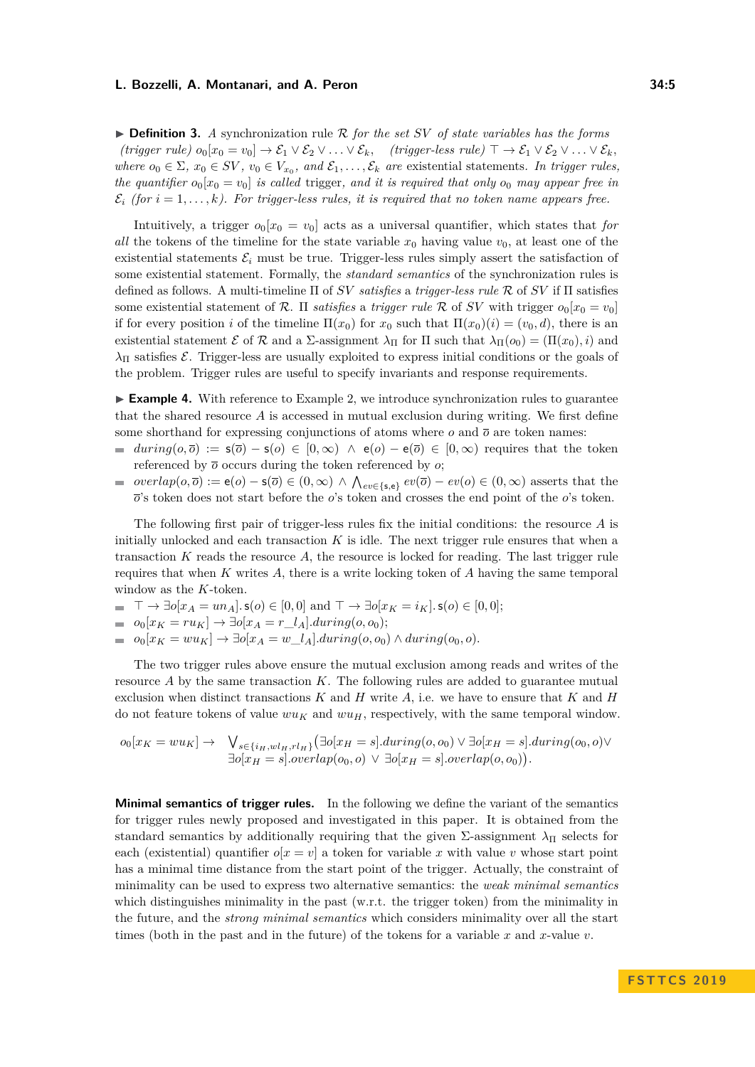$\triangleright$  **Definition 3.** *A* synchronization rule R for the set SV of state variables has the forms  $(trigger\ rule\ \n\begin{aligned}\n\text{(trigger rule)}\ o_0[x_0 = v_0] \rightarrow \mathcal{E}_1 \vee \mathcal{E}_2 \vee \ldots \vee \mathcal{E}_k,\n\end{aligned}$   $(trigger-less\ rule) \top \rightarrow \mathcal{E}_1 \vee \mathcal{E}_2 \vee \ldots \vee \mathcal{E}_k$ *where*  $o_0 \in \Sigma$ ,  $x_0 \in SV$ ,  $v_0 \in V_{x_0}$ , and  $\mathcal{E}_1, \ldots, \mathcal{E}_k$  are existential statements. In trigger rules, *the quantifier*  $o_0[x_0 = v_0]$  *is called* trigger, and *it is required that only*  $o_0$  *may appear free in*  $\mathcal{E}_i$  *(for*  $i = 1, \ldots, k$ *). For trigger-less rules, it is required that no token name appears free.* 

Intuitively, a trigger  $o_0[x_0 = v_0]$  acts as a universal quantifier, which states that *for all* the tokens of the timeline for the state variable  $x_0$  having value  $v_0$ , at least one of the existential statements  $\mathcal{E}_i$  must be true. Trigger-less rules simply assert the satisfaction of some existential statement. Formally, the *standard semantics* of the synchronization rules is defined as follows. A multi-timeline Π of *SV satisfies* a *trigger-less rule* R of *SV* if Π satisfies some existential statement of R. II *satisfies* a *trigger rule* R of *SV* with trigger  $o_0[x_0 = v_0]$ if for every position *i* of the timeline  $\Pi(x_0)$  for  $x_0$  such that  $\Pi(x_0)(i) = (v_0, d)$ , there is an existential statement  $\mathcal{E}$  of  $\mathcal{R}$  and a  $\Sigma$ -assignment  $\lambda_{\Pi}$  for  $\Pi$  such that  $\lambda_{\Pi}(o_0) = (\Pi(x_0), i)$  and  $\lambda_{\Pi}$  satisfies *E*. Trigger-less are usually exploited to express initial conditions or the goals of the problem. Trigger rules are useful to specify invariants and response requirements.

<span id="page-4-0"></span>► **Example 4.** With reference to Example [2,](#page-2-1) we introduce synchronization rules to guarantee that the shared resource *A* is accessed in mutual exclusion during writing. We first define some shorthand for expressing conjunctions of atoms where  $o$  and  $\overline{o}$  are token names:

- $during(o, \overline{o}) := s(\overline{o}) s(o) \in [0, \infty) \land e(o) e(\overline{o}) \in [0, \infty)$  requires that the token referenced by  $\bar{o}$  occurs during the token referenced by  $o$ ;
- $overlap(o,\overline{o}) := e(o) s(\overline{o}) \in (0,\infty) \land \bigwedge_{ev \in \{s,e\}} ev(\overline{o}) ev(o) \in (0,\infty)$  asserts that the  $\overline{\phantom{a}}$ *o*'s token does not start before the *o*'s token and crosses the end point of the *o*'s token.

The following first pair of trigger-less rules fix the initial conditions: the resource *A* is initially unlocked and each transaction *K* is idle. The next trigger rule ensures that when a transaction *K* reads the resource *A*, the resource is locked for reading. The last trigger rule requires that when *K* writes *A*, there is a write locking token of *A* having the same temporal window as the *K*-token.

- $\top \to \exists o[x_A = un_A] \cdot s(o) \in [0,0] \text{ and } \top \to \exists o[x_K = i_K] \cdot s(o) \in [0,0];$
- $= o_0[x_K = ru_K]$  →  $\exists o[x_A = r_l_A]$ *.during*(*o, o*<sub>0</sub>);
- $\bullet$  *o*<sub>0</sub>[*x<sub>K</sub>* = *wu<sub>K</sub>*] → ∃*o*[*x<sub>A</sub>* = *w\_l<sub>A</sub>*]*.during*(*o*<sub>0</sub>*, o*<sub>0</sub>) ∧ *during*(*o*<sub>0</sub>*, o*).

The two trigger rules above ensure the mutual exclusion among reads and writes of the resource *A* by the same transaction *K*. The following rules are added to guarantee mutual exclusion when distinct transactions *K* and *H* write *A*, i.e. we have to ensure that *K* and *H* do not feature tokens of value  $wu_K$  and  $wu_H$ , respectively, with the same temporal window.

$$
o_0[x_K = w u_K] \rightarrow \bigvee_{s \in \{i_H, w l_H, r l_H\}} (\exists o[x_H = s].during(o, o_0) \lor \exists o[x_H = s].during(o_0, o) \lor \exists o[x_H = s].overlap(o, o_0)).
$$

**Minimal semantics of trigger rules.** In the following we define the variant of the semantics for trigger rules newly proposed and investigated in this paper. It is obtained from the standard semantics by additionally requiring that the given  $\Sigma$ -assignment  $\lambda_{\Pi}$  selects for each (existential) quantifier  $o[x = v]$  a token for variable x with value v whose start point has a minimal time distance from the start point of the trigger. Actually, the constraint of minimality can be used to express two alternative semantics: the *weak minimal semantics* which distinguishes minimality in the past (w.r.t. the trigger token) from the minimality in the future, and the *strong minimal semantics* which considers minimality over all the start times (both in the past and in the future) of the tokens for a variable *x* and *x*-value *v*.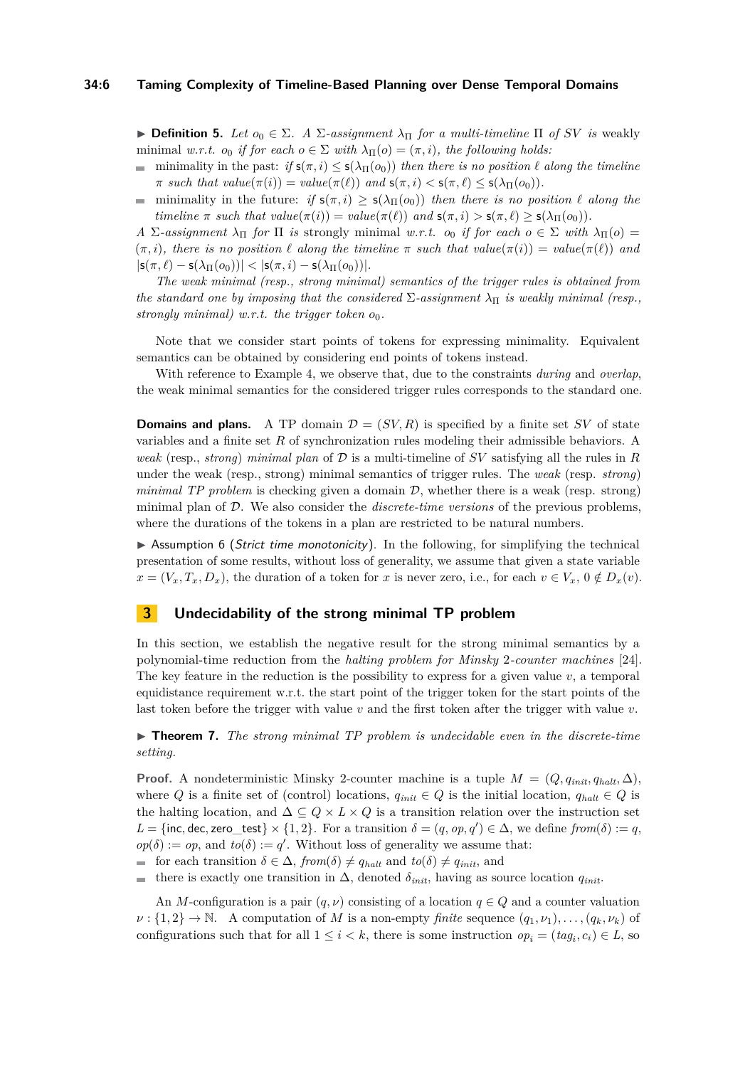#### **34:6 Taming Complexity of Timeline-Based Planning over Dense Temporal Domains**

 $▶$  **Definition 5.** *Let*  $o_0 \in \Sigma$ *.* A  $\Sigma$ -assignment  $\lambda_{\Pi}$  for a multi-timeline  $\Pi$  *of SV is* weakly minimal *w.r.t.*  $o_0$  *if for each*  $o \in \Sigma$  *with*  $\lambda_{\Pi}(o) = (\pi, i)$ *, the following holds:* 

- $\blacksquare$ minimality in the past:  $if s(\pi, i) \leq s(\lambda_{\Pi}(o_0))$  *then there is no position*  $\ell$  *along the timeline*  $\pi$  *such that*  $value(\pi(i)) = value(\pi(\ell))$  *and*  $s(\pi, i) < s(\pi, \ell) \leq s(\lambda_{\Pi}(o_0)).$
- minimality in the future: *if*  $s(\pi, i) \geq s(\lambda_{\Pi}(o_0))$  *then there is no position*  $\ell$  *along the*  $\blacksquare$ *timeline*  $\pi$  *such that*  $value(\pi(i)) = value(\pi(\ell))$  *and*  $s(\pi, i) > s(\pi, \ell) > s(\lambda_{\Pi}(o_0)).$

*A* Σ*-assignment*  $\lambda$ <sub>Π</sub> *for* Π *is* strongly minimal *w.r.t. o*<sub>0</sub> *if for each*  $o \in \Sigma$  *with*  $\lambda$ <sub>Π</sub>(*o*) =  $(\pi, i)$ , there is no position  $\ell$  along the timeline  $\pi$  such that  $value(\pi(i)) = value(\pi(\ell))$  and  $|\mathsf{s}(\pi, \ell) - \mathsf{s}(\lambda_{\Pi}(o_0))| < |\mathsf{s}(\pi, i) - \mathsf{s}(\lambda_{\Pi}(o_0))|$ .

*The weak minimal (resp., strong minimal) semantics of the trigger rules is obtained from the standard one by imposing that the considered*  $\Sigma$ -assignment  $\lambda_{\Pi}$  *is weakly minimal (resp., strongly minimal) w.r.t. the trigger token o*0*.*

Note that we consider start points of tokens for expressing minimality. Equivalent semantics can be obtained by considering end points of tokens instead.

With reference to Example [4,](#page-4-0) we observe that, due to the constraints *during* and *overlap*, the weak minimal semantics for the considered trigger rules corresponds to the standard one.

**Domains and plans.** A TP domain  $\mathcal{D} = (SV, R)$  is specified by a finite set *SV* of state variables and a finite set *R* of synchronization rules modeling their admissible behaviors. A *weak* (resp., *strong*) *minimal plan* of D is a multi-timeline of *SV* satisfying all the rules in *R* under the weak (resp., strong) minimal semantics of trigger rules. The *weak* (resp. *strong*) *minimal TP problem* is checking given a domain  $D$ , whether there is a weak (resp. strong) minimal plan of D. We also consider the *discrete-time versions* of the previous problems, where the durations of the tokens in a plan are restricted to be natural numbers.

 $\triangleright$  Assumption 6 (Strict time monotonicity). In the following, for simplifying the technical presentation of some results, without loss of generality, we assume that given a state variable  $x = (V_x, T_x, D_x)$ , the duration of a token for *x* is never zero, i.e., for each  $v \in V_x$ ,  $0 \notin D_x(v)$ .

# <span id="page-5-0"></span>**3 Undecidability of the strong minimal TP problem**

In this section, we establish the negative result for the strong minimal semantics by a polynomial-time reduction from the *halting problem for Minsky* 2*-counter machines* [\[24\]](#page-13-22). The key feature in the reduction is the possibility to express for a given value  $v$ , a temporal equidistance requirement w.r.t. the start point of the trigger token for the start points of the last token before the trigger with value *v* and the first token after the trigger with value *v*.

<span id="page-5-1"></span> $\triangleright$  **Theorem 7.** The strong minimal TP problem is undecidable even in the discrete-time *setting.*

**Proof.** A nondeterministic Minsky 2-counter machine is a tuple  $M = (Q, q_{init}, q_{halt}, \Delta)$ , where *Q* is a finite set of (control) locations,  $q_{init} \in Q$  is the initial location,  $q_{halt} \in Q$  is the halting location, and  $\Delta \subseteq Q \times L \times Q$  is a transition relation over the instruction set  $L = \{\text{inc}, \text{dec}, \text{zero\_test}\} \times \{1, 2\}.$  For a transition  $\delta = (q, op, q') \in \Delta$ , we define  $from(\delta) := q$ ,  $op(\delta) := op$ , and  $to(\delta) := q'$ . Without loss of generality we assume that:

- $\blacksquare$  for each transition  $\delta \in \Delta$ , *from*( $\delta$ ) ≠ *q*<sub>*halt*</sub> and *to*( $\delta$ ) ≠ *q*<sub>*init*</sub>, and
- there is exactly one transition in  $\Delta$ , denoted  $\delta_{init}$ , having as source location  $q_{init}$ .  $\equiv$

An *M*-configuration is a pair  $(q, \nu)$  consisting of a location  $q \in Q$  and a counter valuation  $\nu$  :  $\{1, 2\} \rightarrow \mathbb{N}$ . A computation of *M* is a non-empty *finite* sequence  $(q_1, \nu_1), \ldots, (q_k, \nu_k)$  of configurations such that for all  $1 \leq i < k$ , there is some instruction  $op_i = (tag_i, c_i) \in L$ , so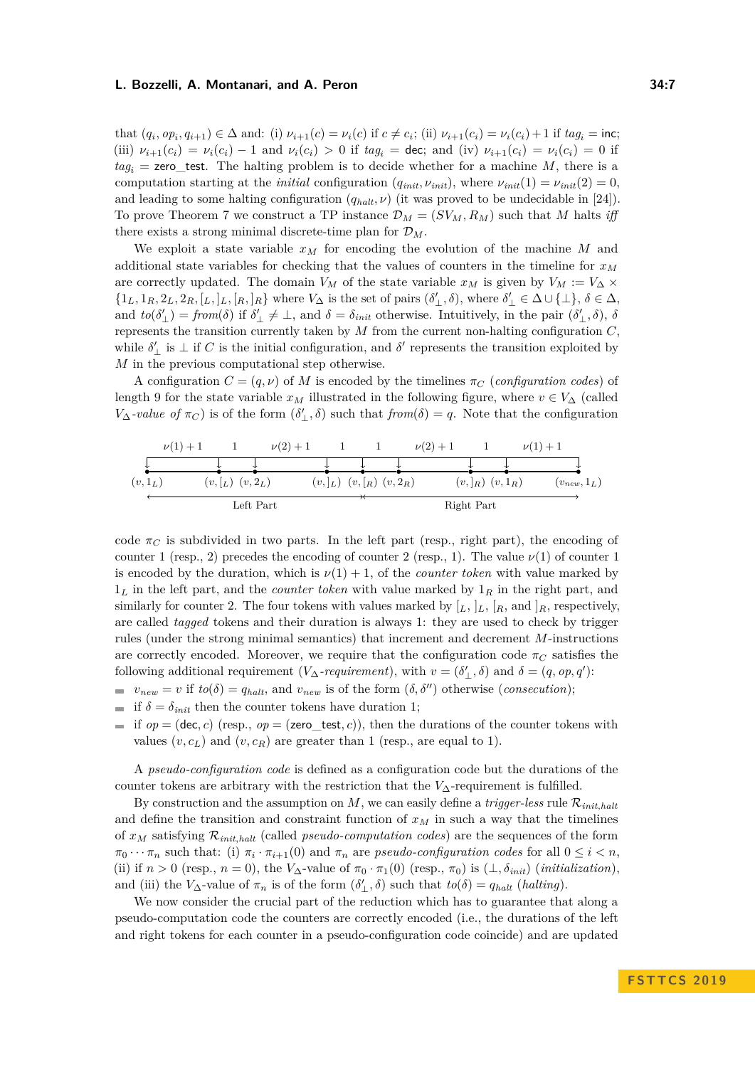that  $(q_i, op_i, q_{i+1}) \in \Delta$  and: (i)  $\nu_{i+1}(c) = \nu_i(c)$  if  $c \neq c_i$ ; (ii)  $\nu_{i+1}(c_i) = \nu_i(c_i) + 1$  if  $tag_i = \text{inc}$ ; (iii)  $\nu_{i+1}(c_i) = \nu_i(c_i) - 1$  and  $\nu_i(c_i) > 0$  if  $tag_i = \text{dec}$ ; and (iv)  $\nu_{i+1}(c_i) = \nu_i(c_i) = 0$  if  $tag<sub>i</sub> =$ **zero\_test.** The halting problem is to decide whether for a machine *M*, there is a computation starting at the *initial* configuration  $(q_{init}, \nu_{init})$ , where  $\nu_{init}(1) = \nu_{init}(2) = 0$ , and leading to some halting configuration  $(q_{halt}, \nu)$  (it was proved to be undecidable in [\[24\]](#page-13-22)). To prove Theorem [7](#page-5-1) we construct a TP instance  $\mathcal{D}_M = (SV_M, R_M)$  such that *M* halts *iff* there exists a strong minimal discrete-time plan for D*M*.

We exploit a state variable  $x_M$  for encoding the evolution of the machine M and additional state variables for checking that the values of counters in the timeline for *x<sup>M</sup>* are correctly updated. The domain  $V_M$  of the state variable  $x_M$  is given by  $V_M := V_\Delta \times$  $\{1_L, 1_R, 2_L, 2_R, [L, L, L, R]R\}$  where  $V_{\Delta}$  is the set of pairs  $(\delta'_{\perp}, \delta)$ , where  $\delta'_{\perp} \in \Delta \cup \{\perp\}, \delta \in \Delta$ , and  $to(\delta'_{\perp}) = from(\delta)$  if  $\delta'_{\perp} \neq \perp$ , and  $\delta = \delta_{init}$  otherwise. Intuitively, in the pair  $(\delta'_{\perp}, \delta)$ ,  $\delta$ represents the transition currently taken by *M* from the current non-halting configuration *C*, while  $\delta'_{\perp}$  is  $\perp$  if *C* is the initial configuration, and  $\delta'$  represents the transition exploited by *M* in the previous computational step otherwise.

A configuration  $C = (q, \nu)$  of M is encoded by the timelines  $\pi_C$  (*configuration codes*) of length 9 for the state variable  $x_M$  illustrated in the following figure, where  $v \in V_\Delta$  (called *V*<sub>Δ</sub>*-value of*  $π$ *C*) is of the form  $(δ'_{\perp}, δ)$  such that *from* $(δ) = q$ . Note that the configuration

|           | $\nu(1) + 1$ |                           | $\nu(2) + 1$ |                                  | $\nu(2) + 1$ |                           | $\nu(1) + 1$ |                  |
|-----------|--------------|---------------------------|--------------|----------------------------------|--------------|---------------------------|--------------|------------------|
|           |              |                           |              |                                  |              |                           |              |                  |
| $(v,1_L)$ |              | $(v, \lfloor_L) (v, 2_L)$ |              | $(v,  _L)$ $(v,  _R)$ $(v, 2_R)$ |              | $(v,  _{R})$ $(v, 1_{R})$ |              | $(v_{new}, 1_L)$ |
|           |              | Left Part                 |              |                                  |              | Right Part                |              |                  |

code  $\pi$ <sup>*C*</sup> is subdivided in two parts. In the left part (resp., right part), the encoding of counter 1 (resp., 2) precedes the encoding of counter 2 (resp., 1). The value  $\nu(1)$  of counter 1 is encoded by the duration, which is  $\nu(1) + 1$ , of the *counter token* with value marked by 1*<sup>L</sup>* in the left part, and the *counter token* with value marked by 1*<sup>R</sup>* in the right part, and similarly for counter 2. The four tokens with values marked by  $[L, L, [R, \text{and } ]R$ , respectively, are called *tagged* tokens and their duration is always 1: they are used to check by trigger rules (under the strong minimal semantics) that increment and decrement *M*-instructions are correctly encoded. Moreover, we require that the configuration code  $\pi_C$  satisfies the following additional requirement (*V*∆*-requirement*), with  $v = (\delta'_{\perp}, \delta)$  and  $\delta = (q, op, q')$ :

- $v_{new} = v$  if  $to(\delta) = q_{halt}$ , and  $v_{new}$  is of the form  $(\delta, \delta'')$  otherwise (*consecution*);
- if  $\delta = \delta_{init}$  then the counter tokens have duration 1;
- if  $op = (dec, c)$  (resp.,  $op = (zero\_test, c)$ ), then the durations of the counter tokens with values  $(v, c_L)$  and  $(v, c_R)$  are greater than 1 (resp., are equal to 1).

A *pseudo-configuration code* is defined as a configuration code but the durations of the counter tokens are arbitrary with the restriction that the *V*∆-requirement is fulfilled.

By construction and the assumption on  $M$ , we can easily define a *trigger-less* rule  $\mathcal{R}_{init, halt}$ and define the transition and constraint function of  $x<sub>M</sub>$  in such a way that the timelines of  $x_M$  satisfying  $\mathcal{R}_{init, halt}$  (called *pseudo-computation codes*) are the sequences of the form  $\pi_0 \cdots \pi_n$  such that: (i)  $\pi_i \cdot \pi_{i+1}(0)$  and  $\pi_n$  are *pseudo-configuration codes* for all  $0 \le i < n$ , (ii) if  $n > 0$  (resp.,  $n = 0$ ), the  $V_{\Delta}$ -value of  $\pi_0 \cdot \pi_1(0)$  (resp.,  $\pi_0$ ) is  $(\bot, \delta_{init})$  (*initialization*), and (iii) the *V*<sub>∆</sub>-value of  $\pi_n$  is of the form  $(\delta'_{\perp}, \delta)$  such that  $to(\delta) = q_{halt}$  (*halting*).

We now consider the crucial part of the reduction which has to guarantee that along a pseudo-computation code the counters are correctly encoded (i.e., the durations of the left and right tokens for each counter in a pseudo-configuration code coincide) and are updated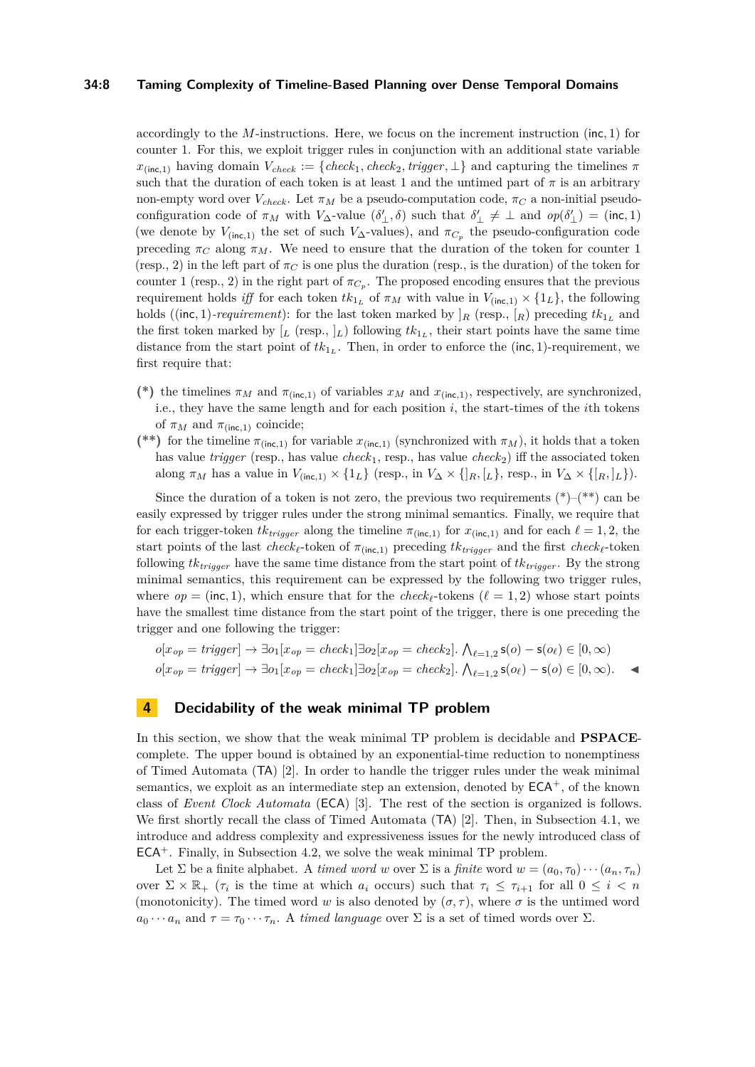#### **34:8 Taming Complexity of Timeline-Based Planning over Dense Temporal Domains**

accordingly to the *M*-instructions. Here, we focus on the increment instruction (inc*,* 1) for counter 1. For this, we exploit trigger rules in conjunction with an additional state variable  $x_{(inc,1)}$  having domain  $V_{check} := \{check, check_1, check_2, trigger, \perp\}$  and capturing the timelines  $\pi$ such that the duration of each token is at least 1 and the untimed part of  $\pi$  is an arbitrary non-empty word over  $V_{check}$ . Let  $\pi_M$  be a pseudo-computation code,  $\pi_C$  a non-initial pseudoconfiguration code of  $\pi_M$  with  $V_{\Delta}$ -value  $(\delta'_{\perp}, \delta)$  such that  $\delta'_{\perp} \neq \perp$  and  $op(\delta'_{\perp}) = (inc, 1)$ (we denote by  $V_{(inc,1)}$  the set of such  $V_{\Delta}$ -values), and  $\pi_{C_p}$  the pseudo-configuration code preceding  $\pi_C$  along  $\pi_M$ . We need to ensure that the duration of the token for counter 1 (resp., 2) in the left part of  $\pi_C$  is one plus the duration (resp., is the duration) of the token for counter 1 (resp., 2) in the right part of  $\pi_{C_p}$ . The proposed encoding ensures that the previous requirement holds *iff* for each token  $tk_{1_L}$  of  $\pi_M$  with value in  $V_{(inc,1)} \times \{1_L\}$ , the following holds ((inc, 1)*-requirement*): for the last token marked by  $]_R$  (resp.,  $]_R$ ) preceding  $tk_{1_L}$  and the first token marked by  $[L$  (resp.,  $]_L$ ) following  $tk_{1_L}$ , their start points have the same time distance from the start point of  $tk_{1_L}$ . Then, in order to enforce the (inc, 1)-requirement, we first require that:

- (\*) the timelines  $\pi_M$  and  $\pi_{(inc,1)}$  of variables  $x_M$  and  $x_{(inc,1)}$ , respectively, are synchronized, i.e., they have the same length and for each position *i*, the start-times of the *i*th tokens of  $\pi_M$  and  $\pi_{(inc,1)}$  coincide;
- (\*\*) for the timeline  $\pi_{(inc,1)}$  for variable  $x_{(inc,1)}$  (synchronized with  $\pi_M$ ), it holds that a token has value  $trigger$  (resp., has value  $check_1$ , resp., has value  $check_2$ ) iff the associated token along  $\pi_M$  has a value in  $V_{(inc,1)} \times \{1_L\}$  (resp., in  $V_\Delta \times \{I_R, [L], \text{resp., in } V_\Delta \times \{[R, L]\}.$

Since the duration of a token is not zero, the previous two requirements  $(*)-(**)$  can be easily expressed by trigger rules under the strong minimal semantics. Finally, we require that for each trigger-token  $tk_{trigger}$  along the timeline  $\pi_{(inc,1)}$  for  $x_{(inc,1)}$  and for each  $\ell = 1, 2$ , the start points of the last *check*<sub> $\ell$ </sub>-token of  $\pi$ <sub>(inc,1)</sub> preceding  $tk_{trigger}$  and the first *check*<sub> $\ell$ </sub>-token following *tktrigger* have the same time distance from the start point of *tktrigger* . By the strong minimal semantics, this requirement can be expressed by the following two trigger rules, where  $op = (inc, 1)$ , which ensure that for the *check*<sub> $\ell$ </sub>-tokens ( $\ell = 1, 2$ ) whose start points have the smallest time distance from the start point of the trigger, there is one preceding the trigger and one following the trigger:

$$
o[x_{op} = trigger] \rightarrow \exists o_1[x_{op} = check_1] \exists o_2[x_{op} = check_2]. \ \bigwedge_{\ell=1,2} s(o) - s(o_{\ell}) \in [0, \infty)
$$
  

$$
o[x_{op} = trigger] \rightarrow \exists o_1[x_{op} = check_1] \exists o_2[x_{op} = check_2]. \ \bigwedge_{\ell=1,2} s(o_{\ell}) - s(o) \in [0, \infty).
$$

# <span id="page-7-0"></span>**4 Decidability of the weak minimal TP problem**

In this section, we show that the weak minimal TP problem is decidable and **PSPACE**complete. The upper bound is obtained by an exponential-time reduction to nonemptiness of Timed Automata (TA) [\[2\]](#page-12-3). In order to handle the trigger rules under the weak minimal semantics, we exploit as an intermediate step an extension, denoted by  $ECA^+$ , of the known class of *Event Clock Automata* (ECA) [\[3\]](#page-12-4). The rest of the section is organized is follows. We first shortly recall the class of Timed Automata (TA) [\[2\]](#page-12-3). Then, in Subsection [4.1,](#page-8-0) we introduce and address complexity and expressiveness issues for the newly introduced class of  $ECA<sup>+</sup>$ . Finally, in Subsection [4.2,](#page-11-0) we solve the weak minimal TP problem.

Let  $\Sigma$  be a finite alphabet. A *timed word w* over  $\Sigma$  is a *finite* word  $w = (a_0, \tau_0) \cdots (a_n, \tau_n)$ over  $\Sigma \times \mathbb{R}_+$  ( $\tau_i$  is the time at which  $a_i$  occurs) such that  $\tau_i \leq \tau_{i+1}$  for all  $0 \leq i < n$ (monotonicity). The timed word *w* is also denoted by  $(\sigma, \tau)$ , where  $\sigma$  is the untimed word  $a_0 \cdots a_n$  and  $\tau = \tau_0 \cdots \tau_n$ . A *timed language* over  $\Sigma$  is a set of timed words over  $\Sigma$ .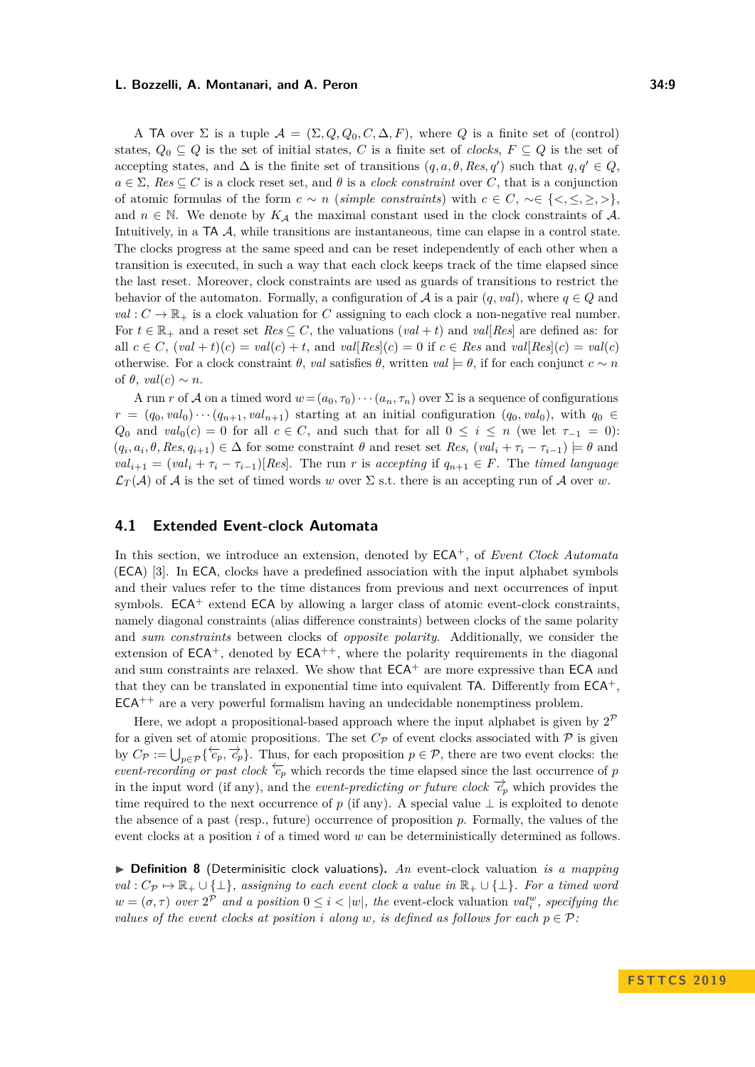A TA over  $\Sigma$  is a tuple  $\mathcal{A} = (\Sigma, Q, Q_0, C, \Delta, F)$ , where Q is a finite set of (control) states,  $Q_0 \subseteq Q$  is the set of initial states, *C* is a finite set of *clocks*,  $F \subseteq Q$  is the set of accepting states, and  $\Delta$  is the finite set of transitions  $(q, a, \theta, Res, q')$  such that  $q, q' \in Q$ ,  $a \in \Sigma$ ,  $Res \subseteq C$  is a clock reset set, and  $\theta$  is a *clock constraint* over *C*, that is a conjunction of atomic formulas of the form *c* ∼ *n* (*simple constraints*) with *c* ∈ *C*, ∼∈ {*<,* ≤*,* ≥*, >*}, and  $n \in \mathbb{N}$ . We denote by  $K_A$  the maximal constant used in the clock constraints of A. Intuitively, in a TA A, while transitions are instantaneous, time can elapse in a control state. The clocks progress at the same speed and can be reset independently of each other when a transition is executed, in such a way that each clock keeps track of the time elapsed since the last reset. Moreover, clock constraints are used as guards of transitions to restrict the behavior of the automaton. Formally, a configuration of  $A$  is a pair  $(q, val)$ , where  $q \in Q$  and  $val: C \to \mathbb{R}_+$  is a clock valuation for *C* assigning to each clock a non-negative real number. For  $t \in \mathbb{R}_+$  and a reset set  $Res \subseteq C$ , the valuations  $(val + t)$  and  $val[Res]$  are defined as: for all  $c \in C$ ,  $(val + t)(c) = val(c) + t$ , and  $val[Res](c) = 0$  if  $c \in Res$  and  $val[Res](c) = val(c)$ otherwise. For a clock constraint *θ*, *val* satisfies *θ*, written *val* |= *θ*, if for each conjunct *c* ∼ *n* of  $\theta$ ,  $val(c) \sim n$ .

A run *r* of A on a timed word  $w = (a_0, \tau_0) \cdots (a_n, \tau_n)$  over  $\Sigma$  is a sequence of configurations  $r = (q_0, val_0) \cdots (q_{n+1}, val_{n+1})$  starting at an initial configuration  $(q_0, val_0)$ , with  $q_0 \in$ *Q*<sub>0</sub> and  $val_0(c) = 0$  for all  $c \in C$ , and such that for all  $0 \le i \le n$  (we let  $\tau_{-1} = 0$ ):  $(q_i, a_i, \theta, Res, q_{i+1}) \in \Delta$  for some constraint  $\theta$  and reset set *Res*,  $(val_i + \tau_i - \tau_{i-1}) \models \theta$  and  $val_{i+1} = (val_i + \tau_i - \tau_{i-1})[Res]$ . The run *r* is accepting if  $q_{n+1} \in F$ . The *timed language*  $\mathcal{L}_T(\mathcal{A})$  of  $\mathcal{A}$  is the set of timed words *w* over  $\Sigma$  s.t. there is an accepting run of  $\mathcal{A}$  over *w*.

# <span id="page-8-0"></span>**4.1 Extended Event-clock Automata**

In this section, we introduce an extension, denoted by ECA<sup>+</sup>, of *Event Clock Automata* (ECA) [\[3\]](#page-12-4). In ECA, clocks have a predefined association with the input alphabet symbols and their values refer to the time distances from previous and next occurrences of input symbols.  $ECA^+$  extend  $ECA$  by allowing a larger class of atomic event-clock constraints, namely diagonal constraints (alias difference constraints) between clocks of the same polarity and *sum constraints* between clocks of *opposite polarity*. Additionally, we consider the extension of  $ECA^+$ , denoted by  $ECA^{++}$ , where the polarity requirements in the diagonal and sum constraints are relaxed. We show that  $ECA<sup>+</sup>$  are more expressive than  $ECA$  and that they can be translated in exponential time into equivalent  $TA$ . Differently from  $ECA^+$ ,  $ECA^{++}$  are a very powerful formalism having an undecidable nonemptiness problem.

Here, we adopt a propositional-based approach where the input alphabet is given by  $2^{\mathcal{P}}$ for a given set of atomic propositions. The set  $C_{\mathcal{P}}$  of event clocks associated with  $\mathcal P$  is given by  $C_{\mathcal{P}} := \bigcup_{p \in \mathcal{P}} \{\overleftarrow{c_p}, \overrightarrow{c_p}\}.$  Thus, for each proposition  $p \in \mathcal{P}$ , there are two event clocks: the *event-recording or past clock*  $\overleftarrow{c}_p$  which records the time elapsed since the last occurrence of *p* in the input word (if any), and the *event-predicting or future clock*  $\overrightarrow{c}_p$  which provides the time required to the next occurrence of *p* (if any). A special value  $\perp$  is exploited to denote the absence of a past (resp., future) occurrence of proposition *p*. Formally, the values of the event clocks at a position *i* of a timed word *w* can be deterministically determined as follows.

▶ **Definition 8** (Determinisitic clock valuations). An event-clock valuation *is a mapping*  $val: C_{\mathcal{P}} \mapsto \mathbb{R}_{+} \cup \{\perp\},$  assigning to each event clock a value in  $\mathbb{R}_{+} \cup \{\perp\}.$  For a timed word  $w = (\sigma, \tau)$  *over*  $2^{\mathcal{P}}$  *and a position*  $0 \leq i < |w|$ *, the* event-clock valuation *val*<sup>*w*</sup>, *specifying the values of the event clocks at position i* along *w*, *is defined as follows for each*  $p \in \mathcal{P}$ *:*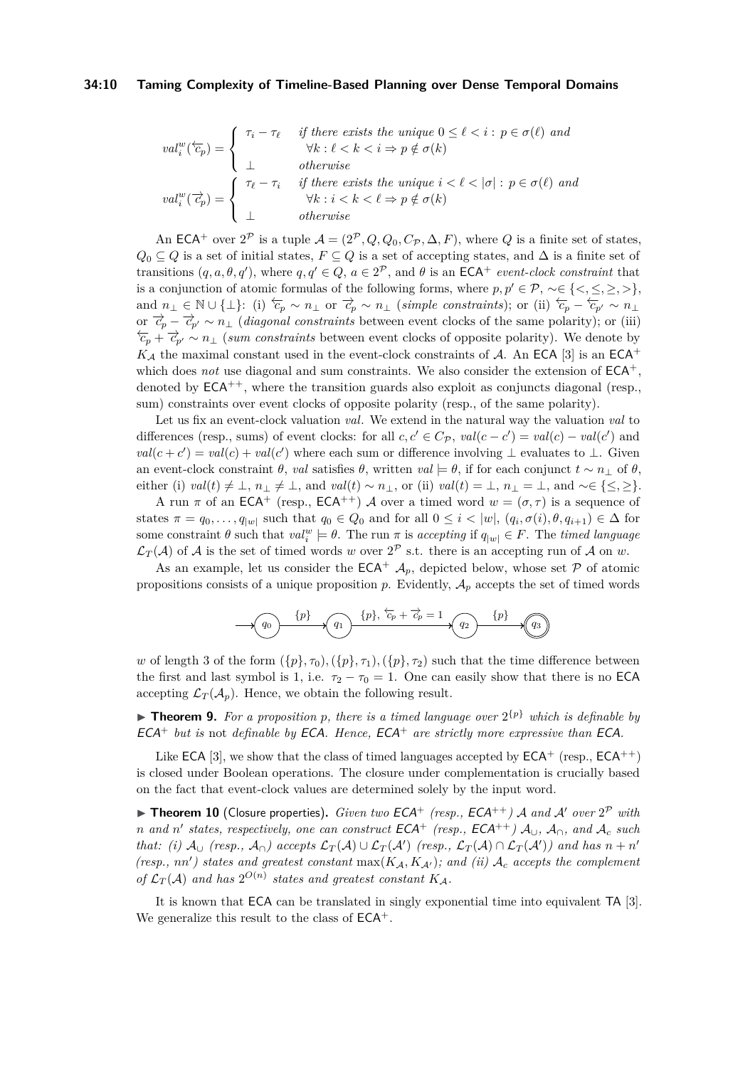#### **34:10 Taming Complexity of Timeline-Based Planning over Dense Temporal Domains**

$$
val_i^w(\overleftarrow{c}_p) = \begin{cases} \tau_i - \tau_\ell & \text{if there exists the unique } 0 \le \ell < i : p \in \sigma(\ell) \text{ and} \\ \forall k : \ell < k < i \Rightarrow p \notin \sigma(k) \\ \bot & \text{otherwise} \end{cases}
$$
  

$$
val_i^w(\overrightarrow{c}_p) = \begin{cases} \tau_\ell - \tau_i & \text{if there exists the unique } i < \ell < |\sigma| : p \in \sigma(\ell) \text{ and} \\ \forall k : i < k < \ell \Rightarrow p \notin \sigma(k) \\ \bot & \text{otherwise} \end{cases}
$$

An ECA<sup>+</sup> over  $2^{\mathcal{P}}$  is a tuple  $\mathcal{A} = (2^{\mathcal{P}}, Q, Q_0, C_{\mathcal{P}}, \Delta, F)$ , where *Q* is a finite set of states,  $Q_0 ⊆ Q$  is a set of initial states,  $F ⊆ Q$  is a set of accepting states, and  $\Delta$  is a finite set of transitions  $(q, a, \theta, q')$ , where  $q, q' \in Q$ ,  $a \in 2^{\mathcal{P}}$ , and  $\theta$  is an ECA<sup>+</sup> *event-clock constraint* that is a conjunction of atomic formulas of the following forms, where  $p, p' \in \mathcal{P}, \neg \in \{ \langle \leq, \leq, \geq \rangle \},\$ and  $n_{\perp} \in \mathbb{N} \cup \{\perp\}$ : (i)  $\overleftarrow{c_p} \sim n_{\perp}$  or  $\overrightarrow{c_p} \sim n_{\perp}$  (*simple constraints*); or (ii)  $\overleftarrow{c_p} - \overleftarrow{c_{p'}} \sim n_{\perp}$ or  $\overrightarrow{c_p} - \overrightarrow{c_p} \sim n_{\perp}$  (*diagonal constraints* between event clocks of the same polarity); or (iii)  $\overleftarrow{c}_p + \overrightarrow{c}_{p'} \sim n_\perp$  (*sum constraints* between event clocks of opposite polarity). We denote by  $K_A$  the maximal constant used in the event-clock constraints of A. An ECA [\[3\]](#page-12-4) is an ECA<sup>+</sup> which does *not* use diagonal and sum constraints. We also consider the extension of  $ECA<sup>+</sup>$ , denoted by  $ECA^{++}$ , where the transition guards also exploit as conjuncts diagonal (resp., sum) constraints over event clocks of opposite polarity (resp., of the same polarity).

Let us fix an event-clock valuation *val*. We extend in the natural way the valuation *val* to differences (resp., sums) of event clocks: for all  $c, c' \in C_{\mathcal{P}}$ ,  $val(c - c') = val(c) - val(c')$  and  $val(c + c') = val(c) + val(c')$  where each sum or difference involving  $\perp$  evaluates to  $\perp$ . Given an event-clock constraint  $\theta$ , *val* satisfies  $\theta$ , written *val*  $\models \theta$ , if for each conjunct  $t \sim n_{\perp}$  of  $\theta$ , either (i)  $val(t) \neq \bot$ ,  $n_{\bot} \neq \bot$ , and  $val(t) \sim n_{\bot}$ , or (ii)  $val(t) = \bot$ ,  $n_{\bot} = \bot$ , and ~ $\in \{\leq, \geq\}$ .

A run  $\pi$  of an ECA<sup>+</sup> (resp., ECA<sup>++</sup>) A over a timed word  $w = (\sigma, \tau)$  is a sequence of states  $\pi = q_0, \ldots, q_{|w|}$  such that  $q_0 \in Q_0$  and for all  $0 \leq i < |w|, (q_i, \sigma(i), \theta, q_{i+1}) \in \Delta$  for some constraint  $\theta$  such that  $val_i^w \models \theta$ . The run  $\pi$  is accepting if  $q_{|w|} \in F$ . The *timed language*  $\mathcal{L}_T(\mathcal{A})$  of  $\mathcal A$  is the set of timed words *w* over  $2^{\mathcal{P}}$  s.t. there is an accepting run of  $\mathcal A$  on *w*.

As an example, let us consider the  $ECA^+$   $\mathcal{A}_p$ , depicted below, whose set P of atomic propositions consists of a unique proposition  $p$ . Evidently,  $A_p$  accepts the set of timed words

$$
\longrightarrow \textcircled{q_0} \xrightarrow{\{p\}} \textcircled{q_1} \xrightarrow{\{p\}, \overleftarrow{c_p} + \overrightarrow{c_p} = 1} \textcircled{q_2} \xrightarrow{\{p\}} \textcircled{q_3}
$$

*w* of length 3 of the form  $({p}, \tau_0)$ *,* $({p}, \tau_1)$ *,* $({p}, \tau_2)$  such that the time difference between the first and last symbol is 1, i.e.  $\tau_2 - \tau_0 = 1$ . One can easily show that there is no **ECA** accepting  $\mathcal{L}_T(\mathcal{A}_n)$ . Hence, we obtain the following result.

**Theorem 9.** For a proposition p, there is a timed language over  $2^{p}$  which is definable by ECA<sup>+</sup> *but is* not *definable by* ECA*. Hence,* ECA<sup>+</sup> *are strictly more expressive than* ECA*.*

Like ECA [\[3\]](#page-12-4), we show that the class of timed languages accepted by  $ECA^+$  (resp.,  $ECA^{++}$ ) is closed under Boolean operations. The closure under complementation is crucially based on the fact that event-clock values are determined solely by the input word.

 $\blacktriangleright$  **Theorem 10** (Closure properties). *Given two ECA*<sup>+</sup> (resp., ECA<sup>++</sup>) A and A' over  $2^{\mathcal{P}}$  with *n* and *n'* states, respectively, one can construct  $ECA^+$  (resp.,  $ECA^{++}$ )  $\mathcal{A}_{\cup}$ ,  $\mathcal{A}_{\cap}$ , and  $\mathcal{A}_c$  such *that:* (*i*)  $A_{\cup}$  (resp.,  $A_{\cap}$ ) accepts  $\mathcal{L}_T(A) \cup \mathcal{L}_T(A')$  (resp.,  $\mathcal{L}_T(A) \cap \mathcal{L}_T(A')$ ) and has  $n + n'$ *(resp., nn')* states and greatest constant  $max(K_A, K_{A'})$ ; and *(ii)*  $A_c$  accepts the complement of  $\mathcal{L}_T(\mathcal{A})$  and has  $2^{O(n)}$  states and greatest constant  $K_{\mathcal{A}}$ .

<span id="page-9-0"></span>It is known that ECA can be translated in singly exponential time into equivalent TA [\[3\]](#page-12-4). We generalize this result to the class of  $ECA^+$ .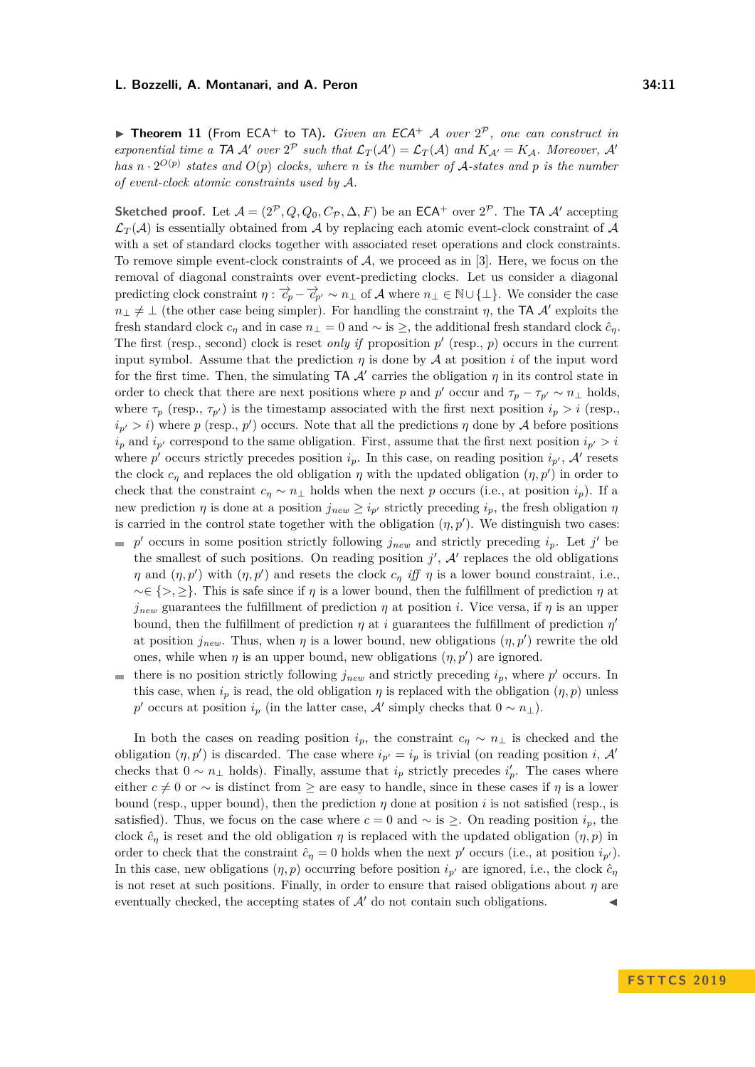**Theorem 11** (From ECA<sup>+</sup> to TA). *Given an ECA*<sup>+</sup> *A over*  $2^{\mathcal{P}}$ *, one can construct in exponential time a*  $TA$  *A' over*  $2^P$  *such that*  $\mathcal{L}_T(\mathcal{A}') = \mathcal{L}_T(\mathcal{A})$  *and*  $K_{\mathcal{A}'} = K_{\mathcal{A}}$ *. Moreover,*  $\mathcal{A}'$ *has*  $n \cdot 2^{O(p)}$  *states and*  $O(p)$  *clocks, where n is the number of* A-*states and p is the number of event-clock atomic constraints used by* A*.*

**Sketched proof.** Let  $\mathcal{A} = (2^{\mathcal{P}}, Q, Q_0, C_{\mathcal{P}}, \Delta, F)$  be an  $\mathsf{ECA}^+$  over  $2^{\mathcal{P}}$ . The TA  $\mathcal{A}'$  accepting  $\mathcal{L}_T(\mathcal{A})$  is essentially obtained from A by replacing each atomic event-clock constraint of A with a set of standard clocks together with associated reset operations and clock constraints. To remove simple event-clock constraints of  $A$ , we proceed as in [\[3\]](#page-12-4). Here, we focus on the removal of diagonal constraints over event-predicting clocks. Let us consider a diagonal predicting clock constraint  $\eta: \vec{c}_p - \vec{c}_{p'} \sim n_{\perp}$  of A where  $n_{\perp} \in \mathbb{N} \cup \{\perp\}$ . We consider the case  $n_{\perp} \neq \perp$  (the other case being simpler). For handling the constraint *η*, the TA A' exploits the fresh standard clock  $c_n$  and in case  $n_{\perp} = 0$  and  $\sim$  is  $\geq$ , the additional fresh standard clock  $\hat{c}_n$ . The first (resp., second) clock is reset *only if* proposition  $p'$  (resp.,  $p$ ) occurs in the current input symbol. Assume that the prediction  $\eta$  is done by A at position *i* of the input word for the first time. Then, the simulating  $TA$   $\mathcal{A}'$  carries the obligation  $\eta$  in its control state in order to check that there are next positions where *p* and *p*<sup>*'*</sup> occur and  $\tau_p - \tau_{p'} \sim n_{\perp}$  holds, where  $\tau_p$  (resp.,  $\tau_{p'}$ ) is the timestamp associated with the first next position  $i_p > i$  (resp.,  $i_{p'} > i$ ) where *p* (resp., *p*<sup>'</sup>) occurs. Note that all the predictions *η* done by A before positions  $i_p$  and  $i_{p'}$  correspond to the same obligation. First, assume that the first next position  $i_{p'} > i$ where  $p'$  occurs strictly precedes position  $i_p$ . In this case, on reading position  $i_{p'}$ , A' resets the clock  $c_{\eta}$  and replaces the old obligation  $\eta$  with the updated obligation  $(\eta, p')$  in order to check that the constraint  $c_n \sim n_{\perp}$  holds when the next *p* occurs (i.e., at position  $i_p$ ). If a new prediction *η* is done at a position  $j_{new} \geq i_{p'}$  strictly preceding  $i_p$ , the fresh obligation *η* is carried in the control state together with the obligation  $(\eta, p')$ . We distinguish two cases:

- $p'$  occurs in some position strictly following  $j_{new}$  and strictly preceding  $i_p$ . Let  $j'$  be the smallest of such positions. On reading position  $j'$ ,  $A'$  replaces the old obligations *η* and  $(\eta, p')$  with  $(\eta, p')$  and resets the clock  $c_{\eta}$  *iff η* is a lower bound constraint, i.e., ∼∈ {*>,* ≥}. This is safe since if *η* is a lower bound, then the fulfillment of prediction *η* at  $j_{new}$  guarantees the fulfillment of prediction *η* at position *i*. Vice versa, if *η* is an upper bound, then the fulfillment of prediction  $\eta$  at *i* guarantees the fulfillment of prediction  $\eta'$ at position  $j_{new}$ . Thus, when  $\eta$  is a lower bound, new obligations  $(\eta, p')$  rewrite the old ones, while when  $\eta$  is an upper bound, new obligations  $(\eta, p')$  are ignored.
- there is no position strictly following  $j_{new}$  and strictly preceding  $i_p$ , where  $p'$  occurs. In this case, when  $i_p$  is read, the old obligation  $\eta$  is replaced with the obligation  $(\eta, p)$  unless *p*  $p'$  occurs at position  $i_p$  (in the latter case,  $\mathcal{A}'$  simply checks that  $0 \sim n_{\perp}$ ).

In both the cases on reading position  $i_p$ , the constraint  $c_\eta \sim n_\perp$  is checked and the obligation  $(\eta, p')$  is discarded. The case where  $i_{p'} = i_p$  is trivial (on reading position *i*, A<sup>*i*</sup> checks that  $0 \sim n_{\perp}$  holds). Finally, assume that  $i_p$  strictly precedes  $i'_p$ . The cases where either  $c \neq 0$  or  $\sim$  is distinct from  $\geq$  are easy to handle, since in these cases if  $\eta$  is a lower bound (resp., upper bound), then the prediction  $\eta$  done at position *i* is not satisfied (resp., is satisfied). Thus, we focus on the case where  $c = 0$  and  $\sim$  is  $\geq$ . On reading position  $i_p$ , the clock  $\hat{c}_\eta$  is reset and the old obligation  $\eta$  is replaced with the updated obligation  $(\eta, p)$  in order to check that the constraint  $\hat{c}_{\eta} = 0$  holds when the next  $p'$  occurs (i.e., at position  $i_{p'}$ ). In this case, new obligations  $(\eta, p)$  occurring before position  $i_{p'}$  are ignored, i.e., the clock  $\hat{c}_{\eta}$ is not reset at such positions. Finally, in order to ensure that raised obligations about *η* are eventually checked, the accepting states of  $A<sup>'</sup>$  do not contain such obligations.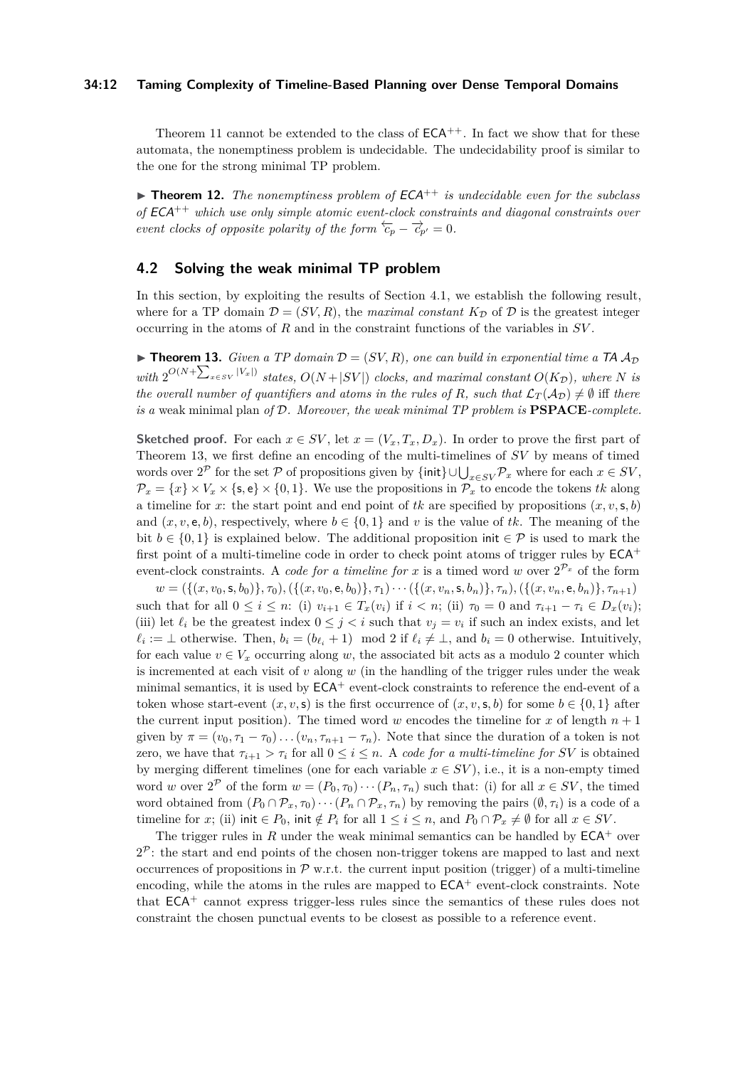#### **34:12 Taming Complexity of Timeline-Based Planning over Dense Temporal Domains**

Theorem [11](#page-9-0) cannot be extended to the class of  $ECA^{++}$ . In fact we show that for these automata, the nonemptiness problem is undecidable. The undecidability proof is similar to the one for the strong minimal TP problem.

 $\triangleright$  **Theorem 12.** The nonemptiness problem of  $ECA^{++}$  is undecidable even for the subclass *of* ECA++ *which use only simple atomic event-clock constraints and diagonal constraints over event clocks of opposite polarity of the form*  $\overleftarrow{c}_p - \overrightarrow{c}_{p'} = 0$ *.* 

# <span id="page-11-0"></span>**4.2 Solving the weak minimal TP problem**

In this section, by exploiting the results of Section [4.1,](#page-8-0) we establish the following result, where for a TP domain  $\mathcal{D} = (SV, R)$ , the *maximal constant*  $K_{\mathcal{D}}$  of  $\mathcal{D}$  is the greatest integer occurring in the atoms of *R* and in the constraint functions of the variables in *SV* .

<span id="page-11-1"></span>**Findmen 13.** *Given a TP domain*  $\mathcal{D} = (SV, R)$ *, one can build in exponential time a TA*  $\mathcal{A}_{\mathcal{D}}$  $with \ 2^{O(N+\sum_{x \in SV} |V_x|)}$  states,  $O(N+|SV|)$  clocks, and maximal constant  $O(K_{\mathcal{D}})$ , where *N* is *the overall number of quantifiers and atoms in the rules of R, such that*  $\mathcal{L}_T(\mathcal{A}_D) \neq \emptyset$  iff *there is a* weak minimal plan *of* D*. Moreover, the weak minimal TP problem is* **PSPACE***-complete.*

**Sketched proof.** For each  $x \in SV$ , let  $x = (V_x, T_x, D_x)$ . In order to prove the first part of Theorem [13,](#page-11-1) we first define an encoding of the multi-timelines of *SV* by means of timed words over  $2^{\mathcal{P}}$  for the set  $\mathcal{P}$  of propositions given by  $\{\text{init}\}\cup\bigcup_{x\in SV}\mathcal{P}_x$  where for each  $x\in SV$ ,  $\mathcal{P}_x = \{x\} \times V_x \times \{\mathsf{s},\mathsf{e}\} \times \{0,1\}.$  We use the propositions in  $\mathcal{P}_x$  to encode the tokens *tk* along a timeline for *x*: the start point and end point of *tk* are specified by propositions  $(x, v, \mathsf{s}, b)$ and  $(x, v, e, b)$ , respectively, where  $b \in \{0, 1\}$  and v is the value of tk. The meaning of the bit  $b \in \{0,1\}$  is explained below. The additional proposition init  $\in \mathcal{P}$  is used to mark the first point of a multi-timeline code in order to check point atoms of trigger rules by  $ECA^+$ event-clock constraints. A *code for a timeline for*  $x$  is a timed word  $w$  over  $2^{\mathcal{P}_x}$  of the form

 $w = (\{(x, v_0, \mathsf{s}, b_0)\}, \tau_0), (\{(x, v_0, \mathsf{e}, b_0)\}, \tau_1) \cdots (\{(x, v_n, \mathsf{s}, b_n)\}, \tau_n), (\{(x, v_n, \mathsf{e}, b_n)\}, \tau_{n+1})$ such that for all  $0 \le i \le n$ : (i)  $v_{i+1} \in T_x(v_i)$  if  $i < n$ ; (ii)  $\tau_0 = 0$  and  $\tau_{i+1} - \tau_i \in D_x(v_i)$ ; (iii) let  $\ell_i$  be the greatest index  $0 \leq j < i$  such that  $v_j = v_i$  if such an index exists, and let  $\ell_i := \bot$  otherwise. Then,  $b_i = (b_{\ell_i} + 1) \mod 2$  if  $\ell_i \neq \bot$ , and  $b_i = 0$  otherwise. Intuitively, for each value  $v \in V_x$  occurring along *w*, the associated bit acts as a modulo 2 counter which is incremented at each visit of  $v$  along  $w$  (in the handling of the trigger rules under the weak minimal semantics, it is used by  $ECA<sup>+</sup>$  event-clock constraints to reference the end-event of a token whose start-event  $(x, v, s)$  is the first occurrence of  $(x, v, s, b)$  for some  $b \in \{0, 1\}$  after the current input position). The timed word *w* encodes the timeline for *x* of length  $n + 1$ given by  $\pi = (v_0, \tau_1 - \tau_0) \dots (v_n, \tau_{n+1} - \tau_n)$ . Note that since the duration of a token is not zero, we have that  $\tau_{i+1} > \tau_i$  for all  $0 \leq i \leq n$ . A *code for a multi-timeline for SV* is obtained by merging different timelines (one for each variable  $x \in SV$ ), i.e., it is a non-empty timed word *w* over  $2^{\mathcal{P}}$  of the form  $w = (P_0, \tau_0) \cdots (P_n, \tau_n)$  such that: (i) for all  $x \in SV$ , the timed word obtained from  $(P_0 \cap P_x, \tau_0) \cdots (P_n \cap P_x, \tau_n)$  by removing the pairs  $(\emptyset, \tau_i)$  is a code of a timeline for *x*; (ii) init  $\in P_0$ , init  $\notin P_i$  for all  $1 \leq i \leq n$ , and  $P_0 \cap P_x \neq \emptyset$  for all  $x \in SV$ .

The trigger rules in  $R$  under the weak minimal semantics can be handled by  $ECA<sup>+</sup>$  over  $2^{\mathcal{P}}$ : the start and end points of the chosen non-trigger tokens are mapped to last and next occurrences of propositions in  $\mathcal{P}$  w.r.t. the current input position (trigger) of a multi-timeline encoding, while the atoms in the rules are mapped to  $ECA^+$  event-clock constraints. Note that ECA<sup>+</sup> cannot express trigger-less rules since the semantics of these rules does not constraint the chosen punctual events to be closest as possible to a reference event.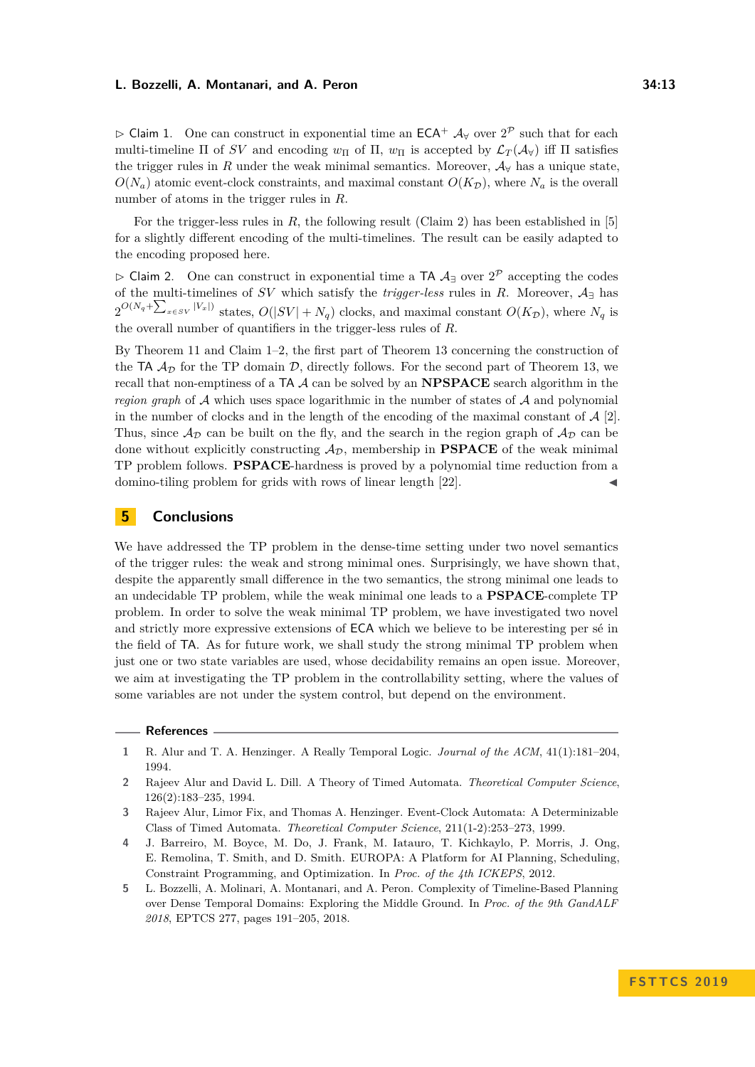> Claim 1. One can construct in exponential time an  $ECA^+$   $\mathcal{A}_{\forall}$  over  $2^{\mathcal{P}}$  such that for each multi-timeline Π of *SV* and encoding  $w_{\Pi}$  of  $\Pi$ ,  $w_{\Pi}$  is accepted by  $\mathcal{L}_T(\mathcal{A}_{\forall})$  iff  $\Pi$  satisfies the trigger rules in *R* under the weak minimal semantics. Moreover,  $A<sub>\forall</sub>$  has a unique state,  $O(N_a)$  atomic event-clock constraints, and maximal constant  $O(K_{\mathcal{D}})$ , where  $N_a$  is the overall number of atoms in the trigger rules in *R*.

For the trigger-less rules in *R*, the following result (Claim 2) has been established in [\[5\]](#page-12-2) for a slightly different encoding of the multi-timelines. The result can be easily adapted to the encoding proposed here.

 $\triangleright$  Claim 2. One can construct in exponential time a TA  $\mathcal{A}_\exists$  over  $2^{\mathcal{P}}$  accepting the codes of the multi-timelines of *SV* which satisfy the *trigger-less* rules in *R*. Moreover, A<sup>∃</sup> has  $2^{O(N_q + \sum_{x \in SV} |V_x|)}$  states,  $O(|SV| + N_q)$  clocks, and maximal constant  $O(K_{\mathcal{D}})$ , where  $N_q$  is the overall number of quantifiers in the trigger-less rules of *R*.

By Theorem [11](#page-9-0) and Claim 1–2, the first part of Theorem [13](#page-11-1) concerning the construction of the TA  $\mathcal{A}_{\mathcal{D}}$  for the TP domain  $\mathcal{D}$ , directly follows. For the second part of Theorem [13,](#page-11-1) we recall that non-emptiness of a TA A can be solved by an **NPSPACE** search algorithm in the *region graph* of A which uses space logarithmic in the number of states of A and polynomial in the number of clocks and in the length of the encoding of the maximal constant of  $\mathcal{A}$  [\[2\]](#page-12-3). Thus, since  $\mathcal{A}_{\mathcal{D}}$  can be built on the fly, and the search in the region graph of  $\mathcal{A}_{\mathcal{D}}$  can be done without explicitly constructing  $A_{\mathcal{D}}$ , membership in **PSPACE** of the weak minimal TP problem follows. **PSPACE**-hardness is proved by a polynomial time reduction from a domino-tiling problem for grids with rows of linear length [\[22\]](#page-13-23).

# **5 Conclusions**

We have addressed the TP problem in the dense-time setting under two novel semantics of the trigger rules: the weak and strong minimal ones. Surprisingly, we have shown that, despite the apparently small difference in the two semantics, the strong minimal one leads to an undecidable TP problem, while the weak minimal one leads to a **PSPACE**-complete TP problem. In order to solve the weak minimal TP problem, we have investigated two novel and strictly more expressive extensions of ECA which we believe to be interesting per sé in the field of TA. As for future work, we shall study the strong minimal TP problem when just one or two state variables are used, whose decidability remains an open issue. Moreover, we aim at investigating the TP problem in the controllability setting, where the values of some variables are not under the system control, but depend on the environment.

#### **References**

- <span id="page-12-0"></span>**1** R. Alur and T. A. Henzinger. A Really Temporal Logic. *Journal of the ACM*, 41(1):181–204, 1994.
- <span id="page-12-3"></span>**2** Rajeev Alur and David L. Dill. A Theory of Timed Automata. *Theoretical Computer Science*, 126(2):183–235, 1994.
- <span id="page-12-4"></span>**3** Rajeev Alur, Limor Fix, and Thomas A. Henzinger. Event-Clock Automata: A Determinizable Class of Timed Automata. *Theoretical Computer Science*, 211(1-2):253–273, 1999.
- <span id="page-12-1"></span>**4** J. Barreiro, M. Boyce, M. Do, J. Frank, M. Iatauro, T. Kichkaylo, P. Morris, J. Ong, E. Remolina, T. Smith, and D. Smith. EUROPA: A Platform for AI Planning, Scheduling, Constraint Programming, and Optimization. In *Proc. of the 4th ICKEPS*, 2012.
- <span id="page-12-2"></span>**5** L. Bozzelli, A. Molinari, A. Montanari, and A. Peron. Complexity of Timeline-Based Planning over Dense Temporal Domains: Exploring the Middle Ground. In *Proc. of the 9th GandALF 2018*, EPTCS 277, pages 191–205, 2018.